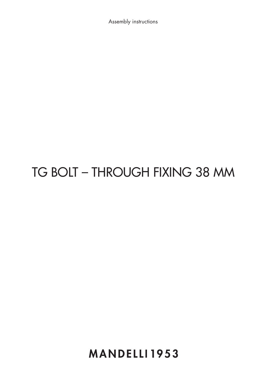Istruzioni di montaggio / Assembly instructions Istruzioni di montaggio / Assembly instructions

## TG BOLT - THROUGH FIXING 38 MM

**MANDELLI1953**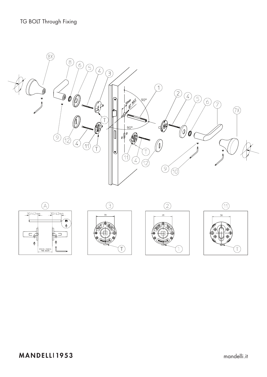